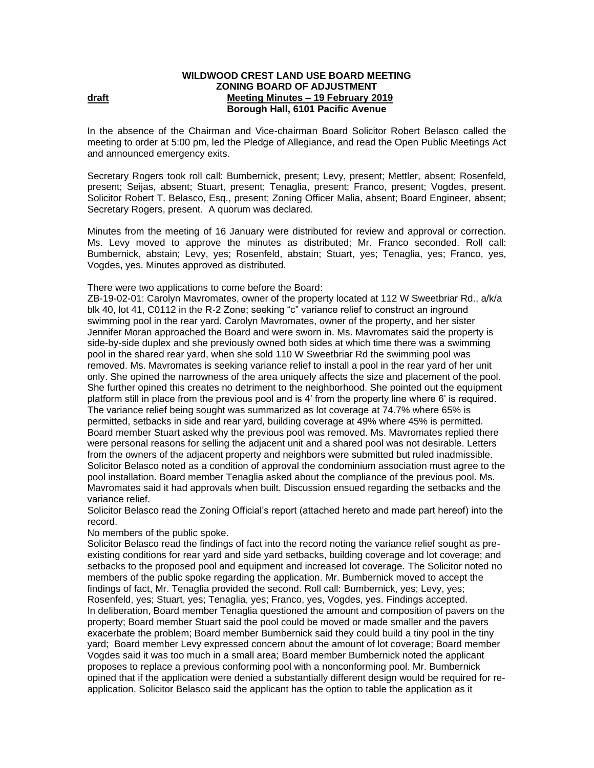## **WILDWOOD CREST LAND USE BOARD MEETING ZONING BOARD OF ADJUSTMENT draft draft Meeting Minutes – 19 February** 2019 **Borough Hall, 6101 Pacific Avenue**

In the absence of the Chairman and Vice-chairman Board Solicitor Robert Belasco called the meeting to order at 5:00 pm, led the Pledge of Allegiance, and read the Open Public Meetings Act and announced emergency exits.

Secretary Rogers took roll call: Bumbernick, present; Levy, present; Mettler, absent; Rosenfeld, present; Seijas, absent; Stuart, present; Tenaglia, present; Franco, present; Vogdes, present. Solicitor Robert T. Belasco, Esq., present; Zoning Officer Malia, absent; Board Engineer, absent; Secretary Rogers, present.A quorum was declared.

Minutes from the meeting of 16 January were distributed for review and approval or correction. Ms. Levy moved to approve the minutes as distributed; Mr. Franco seconded. Roll call: Bumbernick, abstain; Levy, yes; Rosenfeld, abstain; Stuart, yes; Tenaglia, yes; Franco, yes, Vogdes, yes. Minutes approved as distributed.

There were two applications to come before the Board:

ZB-19-02-01: Carolyn Mavromates, owner of the property located at 112 W Sweetbriar Rd., a/k/a blk 40, lot 41, C0112 in the R-2 Zone; seeking "c" variance relief to construct an inground swimming pool in the rear yard. Carolyn Mavromates, owner of the property, and her sister Jennifer Moran approached the Board and were sworn in. Ms. Mavromates said the property is side-by-side duplex and she previously owned both sides at which time there was a swimming pool in the shared rear yard, when she sold 110 W Sweetbriar Rd the swimming pool was removed. Ms. Mavromates is seeking variance relief to install a pool in the rear yard of her unit only. She opined the narrowness of the area uniquely affects the size and placement of the pool. She further opined this creates no detriment to the neighborhood. She pointed out the equipment platform still in place from the previous pool and is 4' from the property line where 6' is required. The variance relief being sought was summarized as lot coverage at 74.7% where 65% is permitted, setbacks in side and rear yard, building coverage at 49% where 45% is permitted. Board member Stuart asked why the previous pool was removed. Ms. Mavromates replied there were personal reasons for selling the adjacent unit and a shared pool was not desirable. Letters from the owners of the adjacent property and neighbors were submitted but ruled inadmissible. Solicitor Belasco noted as a condition of approval the condominium association must agree to the pool installation. Board member Tenaglia asked about the compliance of the previous pool. Ms. Mavromates said it had approvals when built. Discussion ensued regarding the setbacks and the variance relief.

Solicitor Belasco read the Zoning Official's report (attached hereto and made part hereof) into the record.

No members of the public spoke.

Solicitor Belasco read the findings of fact into the record noting the variance relief sought as preexisting conditions for rear yard and side yard setbacks, building coverage and lot coverage; and setbacks to the proposed pool and equipment and increased lot coverage. The Solicitor noted no members of the public spoke regarding the application. Mr. Bumbernick moved to accept the findings of fact, Mr. Tenaglia provided the second. Roll call: Bumbernick, yes; Levy, yes; Rosenfeld, yes; Stuart, yes; Tenaglia, yes; Franco, yes, Vogdes, yes. Findings accepted. In deliberation, Board member Tenaglia questioned the amount and composition of pavers on the property; Board member Stuart said the pool could be moved or made smaller and the pavers exacerbate the problem; Board member Bumbernick said they could build a tiny pool in the tiny yard; Board member Levy expressed concern about the amount of lot coverage; Board member Vogdes said it was too much in a small area; Board member Bumbernick noted the applicant proposes to replace a previous conforming pool with a nonconforming pool. Mr. Bumbernick opined that if the application were denied a substantially different design would be required for reapplication. Solicitor Belasco said the applicant has the option to table the application as it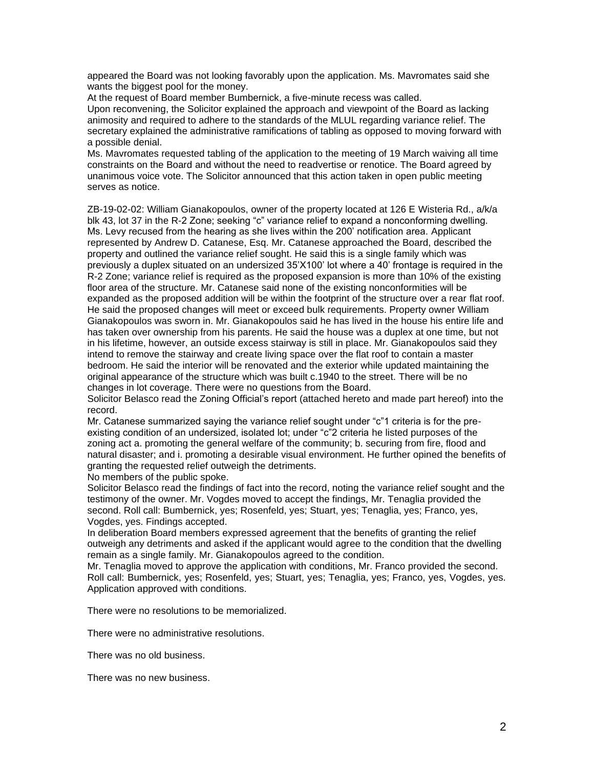appeared the Board was not looking favorably upon the application. Ms. Mavromates said she wants the biggest pool for the money.

At the request of Board member Bumbernick, a five-minute recess was called. Upon reconvening, the Solicitor explained the approach and viewpoint of the Board as lacking animosity and required to adhere to the standards of the MLUL regarding variance relief. The secretary explained the administrative ramifications of tabling as opposed to moving forward with a possible denial.

Ms. Mavromates requested tabling of the application to the meeting of 19 March waiving all time constraints on the Board and without the need to readvertise or renotice. The Board agreed by unanimous voice vote. The Solicitor announced that this action taken in open public meeting serves as notice.

ZB-19-02-02: William Gianakopoulos, owner of the property located at 126 E Wisteria Rd., a/k/a blk 43, lot 37 in the R-2 Zone; seeking "c" variance relief to expand a nonconforming dwelling. Ms. Levy recused from the hearing as she lives within the 200' notification area. Applicant represented by Andrew D. Catanese, Esq. Mr. Catanese approached the Board, described the property and outlined the variance relief sought. He said this is a single family which was previously a duplex situated on an undersized 35'X100' lot where a 40' frontage is required in the R-2 Zone; variance relief is required as the proposed expansion is more than 10% of the existing floor area of the structure. Mr. Catanese said none of the existing nonconformities will be expanded as the proposed addition will be within the footprint of the structure over a rear flat roof. He said the proposed changes will meet or exceed bulk requirements. Property owner William Gianakopoulos was sworn in. Mr. Gianakopoulos said he has lived in the house his entire life and has taken over ownership from his parents. He said the house was a duplex at one time, but not in his lifetime, however, an outside excess stairway is still in place. Mr. Gianakopoulos said they intend to remove the stairway and create living space over the flat roof to contain a master bedroom. He said the interior will be renovated and the exterior while updated maintaining the original appearance of the structure which was built c.1940 to the street. There will be no changes in lot coverage. There were no questions from the Board.

Solicitor Belasco read the Zoning Official's report (attached hereto and made part hereof) into the record.

Mr. Catanese summarized saying the variance relief sought under "c"1 criteria is for the preexisting condition of an undersized, isolated lot; under "c"2 criteria he listed purposes of the zoning act a. promoting the general welfare of the community; b. securing from fire, flood and natural disaster; and i. promoting a desirable visual environment. He further opined the benefits of granting the requested relief outweigh the detriments.

No members of the public spoke.

Solicitor Belasco read the findings of fact into the record, noting the variance relief sought and the testimony of the owner. Mr. Vogdes moved to accept the findings, Mr. Tenaglia provided the second. Roll call: Bumbernick, yes; Rosenfeld, yes; Stuart, yes; Tenaglia, yes; Franco, yes, Vogdes, yes. Findings accepted.

In deliberation Board members expressed agreement that the benefits of granting the relief outweigh any detriments and asked if the applicant would agree to the condition that the dwelling remain as a single family. Mr. Gianakopoulos agreed to the condition.

Mr. Tenaglia moved to approve the application with conditions, Mr. Franco provided the second. Roll call: Bumbernick, yes; Rosenfeld, yes; Stuart, yes; Tenaglia, yes; Franco, yes, Vogdes, yes. Application approved with conditions.

There were no resolutions to be memorialized.

There were no administrative resolutions.

There was no old business.

There was no new business.